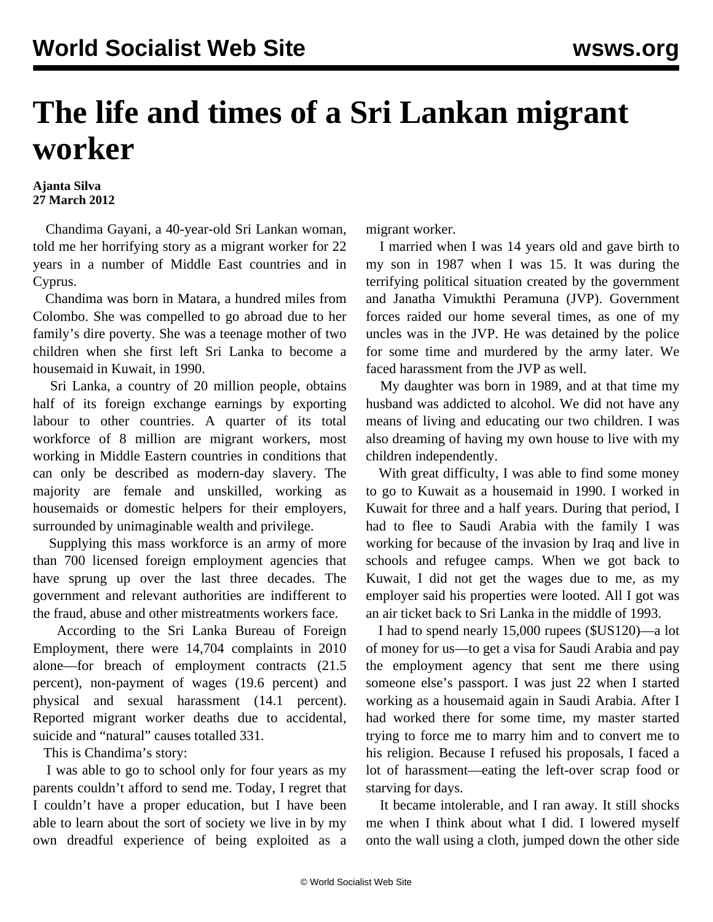## **The life and times of a Sri Lankan migrant worker**

## **Ajanta Silva 27 March 2012**

 Chandima Gayani, a 40-year-old Sri Lankan woman, told me her horrifying story as a migrant worker for 22 years in a number of Middle East countries and in Cyprus.

 Chandima was born in Matara, a hundred miles from Colombo. She was compelled to go abroad due to her family's dire poverty. She was a teenage mother of two children when she first left Sri Lanka to become a housemaid in Kuwait, in 1990.

 Sri Lanka, a country of 20 million people, obtains half of its foreign exchange earnings by exporting labour to other countries. A quarter of its total workforce of 8 million are migrant workers, most working in Middle Eastern countries in conditions that can only be described as modern-day slavery. The majority are female and unskilled, working as housemaids or domestic helpers for their employers, surrounded by unimaginable wealth and privilege.

 Supplying this mass workforce is an army of more than 700 licensed foreign employment agencies that have sprung up over the last three decades. The government and relevant authorities are indifferent to the fraud, abuse and other mistreatments workers face.

 According to the Sri Lanka Bureau of Foreign Employment, there were 14,704 complaints in 2010 alone—for breach of employment contracts (21.5 percent), non-payment of wages (19.6 percent) and physical and sexual harassment (14.1 percent). Reported migrant worker deaths due to accidental, suicide and "natural" causes totalled 331.

This is Chandima's story:

 I was able to go to school only for four years as my parents couldn't afford to send me. Today, I regret that I couldn't have a proper education, but I have been able to learn about the sort of society we live in by my own dreadful experience of being exploited as a migrant worker.

 I married when I was 14 years old and gave birth to my son in 1987 when I was 15. It was during the terrifying political situation created by the government and Janatha Vimukthi Peramuna (JVP). Government forces raided our home several times, as one of my uncles was in the JVP. He was detained by the police for some time and murdered by the army later. We faced harassment from the JVP as well.

 My daughter was born in 1989, and at that time my husband was addicted to alcohol. We did not have any means of living and educating our two children. I was also dreaming of having my own house to live with my children independently.

 With great difficulty, I was able to find some money to go to Kuwait as a housemaid in 1990. I worked in Kuwait for three and a half years. During that period, I had to flee to Saudi Arabia with the family I was working for because of the invasion by Iraq and live in schools and refugee camps. When we got back to Kuwait, I did not get the wages due to me, as my employer said his properties were looted. All I got was an air ticket back to Sri Lanka in the middle of 1993.

 I had to spend nearly 15,000 rupees (\$US120)—a lot of money for us—to get a visa for Saudi Arabia and pay the employment agency that sent me there using someone else's passport. I was just 22 when I started working as a housemaid again in Saudi Arabia. After I had worked there for some time, my master started trying to force me to marry him and to convert me to his religion. Because I refused his proposals, I faced a lot of harassment—eating the left-over scrap food or starving for days.

 It became intolerable, and I ran away. It still shocks me when I think about what I did. I lowered myself onto the wall using a cloth, jumped down the other side